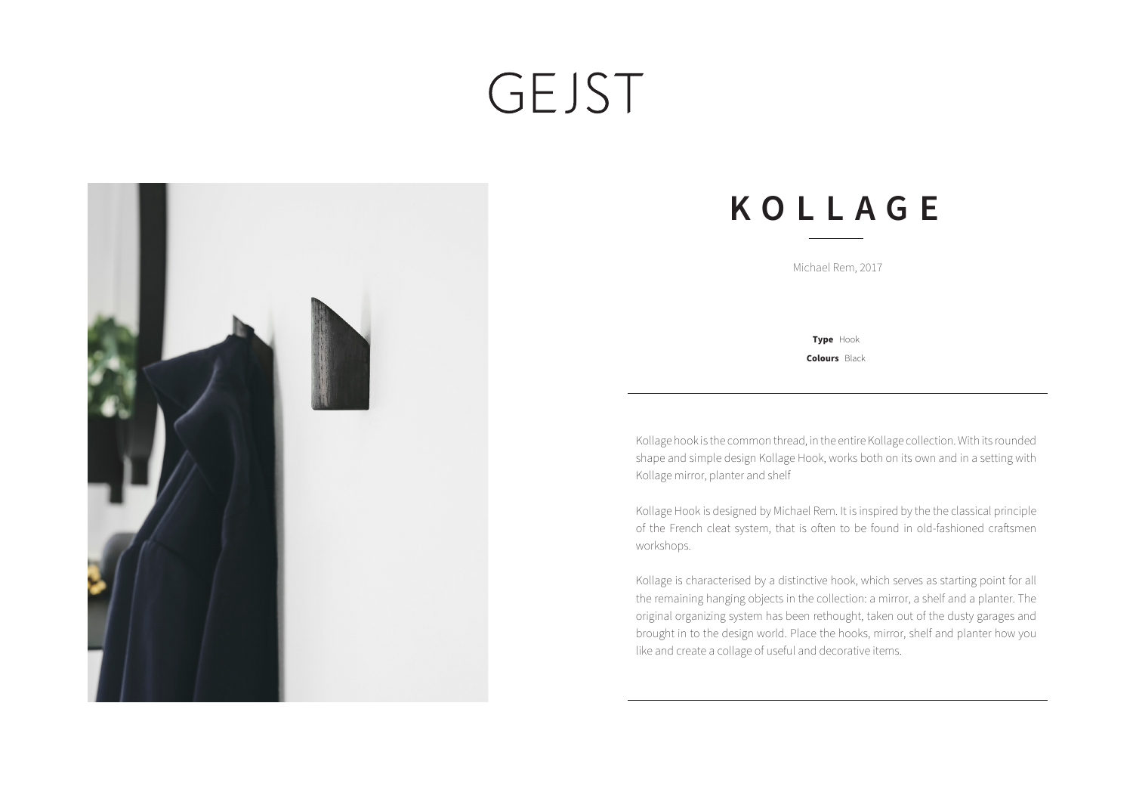## GEJST



## **KOLLAGE**

Michael Rem, 2017

**Colours** Black **Type** Hook

Kollage hook is the common thread, in the entire Kollage collection. With its rounded shape and simple design Kollage Hook, works both on its own and in a setting with Kollage mirror, planter and shelf

Kollage Hook is designed by Michael Rem. It is inspired by the the classical principle of the French cleat system, that is often to be found in old-fashioned craftsmen workshops.

Kollage is characterised by a distinctive hook, which serves as starting point for all the remaining hanging objects in the collection: a mirror, a shelf and a planter. The original organizing system has been rethought, taken out of the dusty garages and brought in to the design world. Place the hooks, mirror, shelf and planter how you like and create a collage of useful and decorative items.